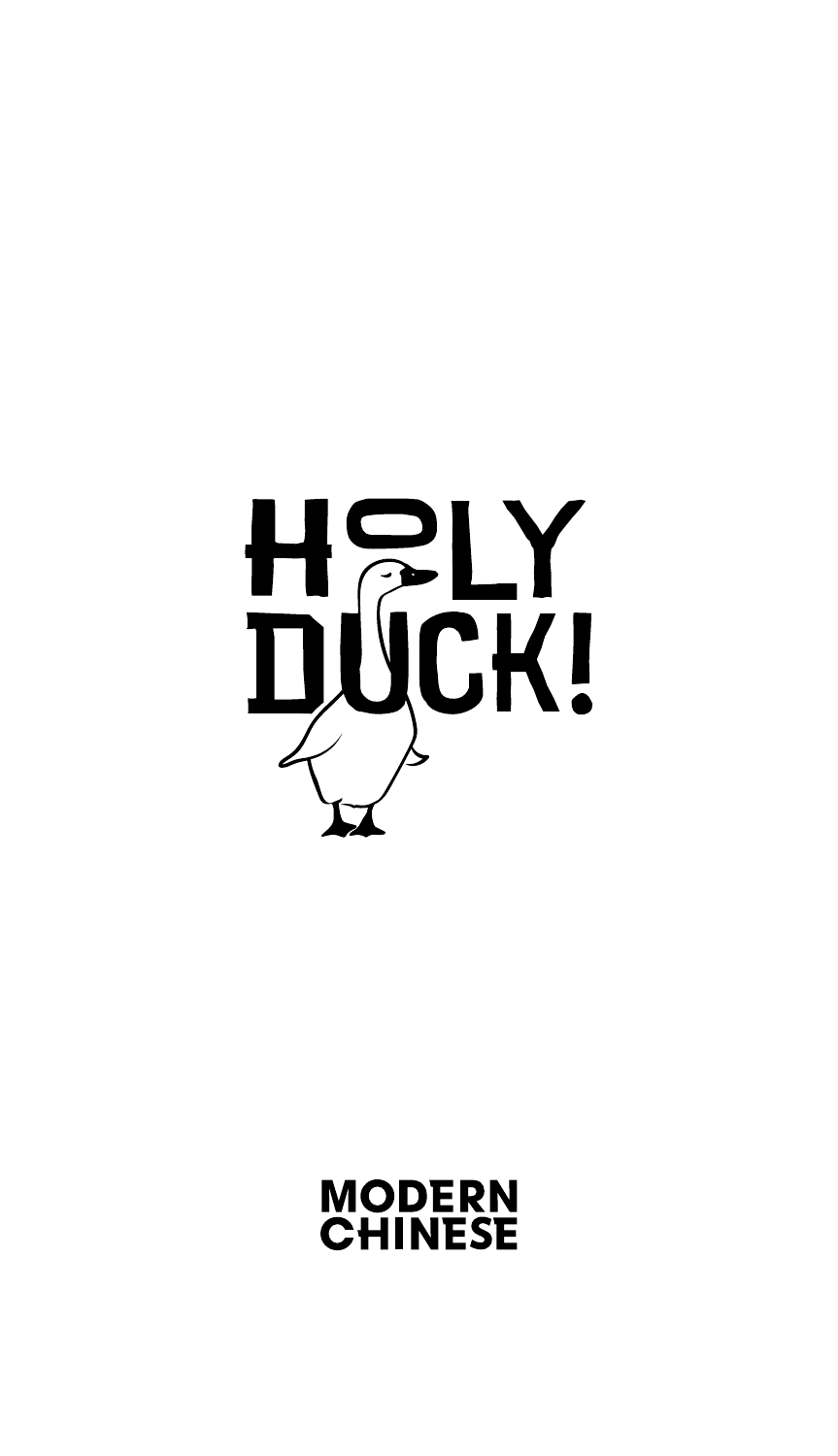

# **MODERN<br>CHINESE**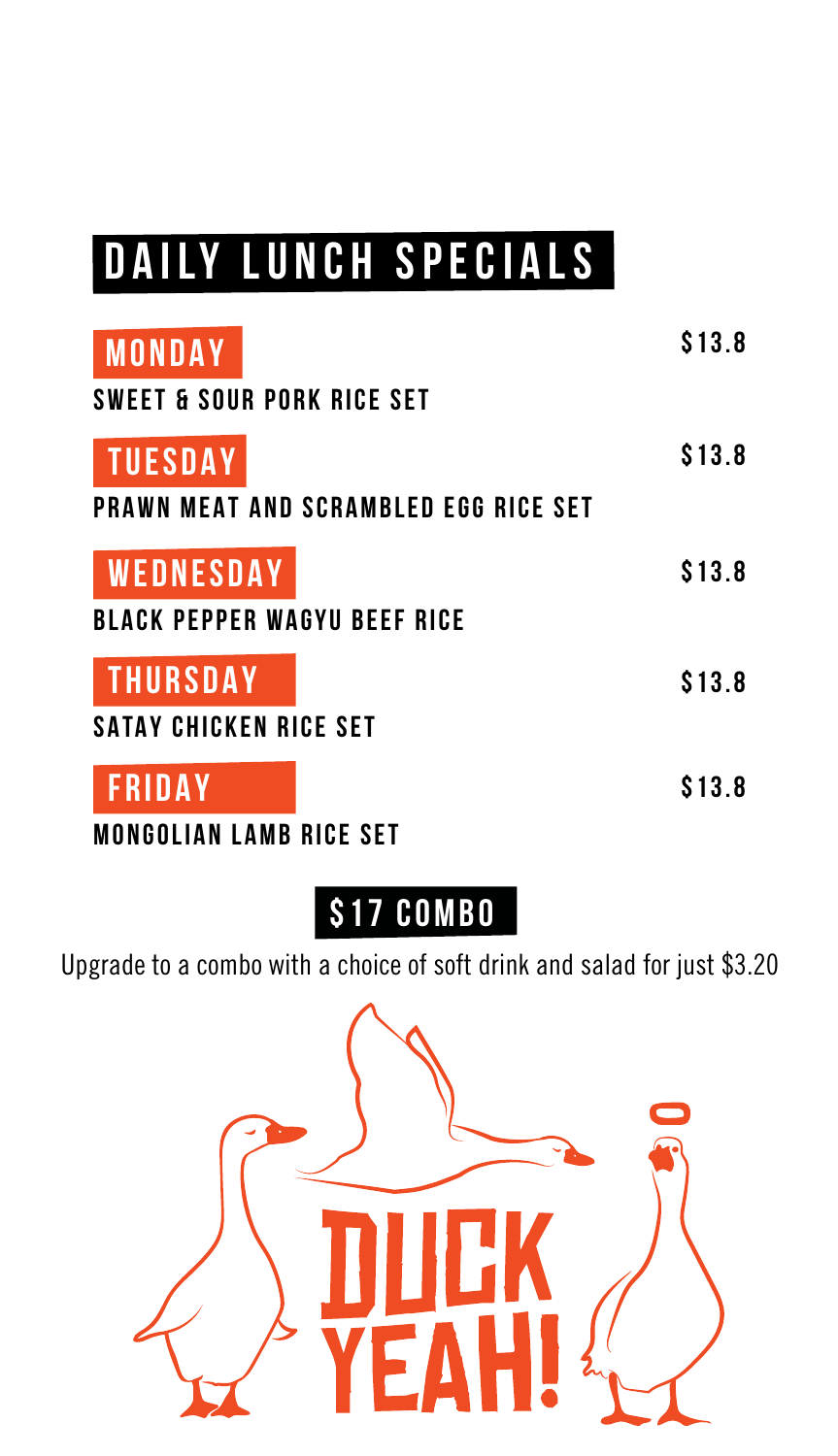## **DAILY LUNCH SPECIALS**

| <b>MONDAY</b><br><b>SWEET &amp; SOUR PORK RICE SET</b> | \$13.8 |
|--------------------------------------------------------|--------|
| <b>TUESDAY</b>                                         | \$13.8 |
| <b>PRAWN MEAT AND SCRAMBLED EGG RICE SET</b>           |        |
| <b>WEDNESDAY</b>                                       | \$13.8 |
| <b>BLACK PEPPER WAGYU BEEF RICE</b>                    |        |
| <b>THURSDAY</b>                                        | \$13.8 |
| <b>SATAY CHICKEN RICE SET</b>                          |        |
| <b>FRIDAY</b>                                          | \$13.8 |

**MONGOLIAN LAMB RICE SET**

**\$17 combo**

Upgrade to a combo with a choice of soft drink and salad for just \$3.20

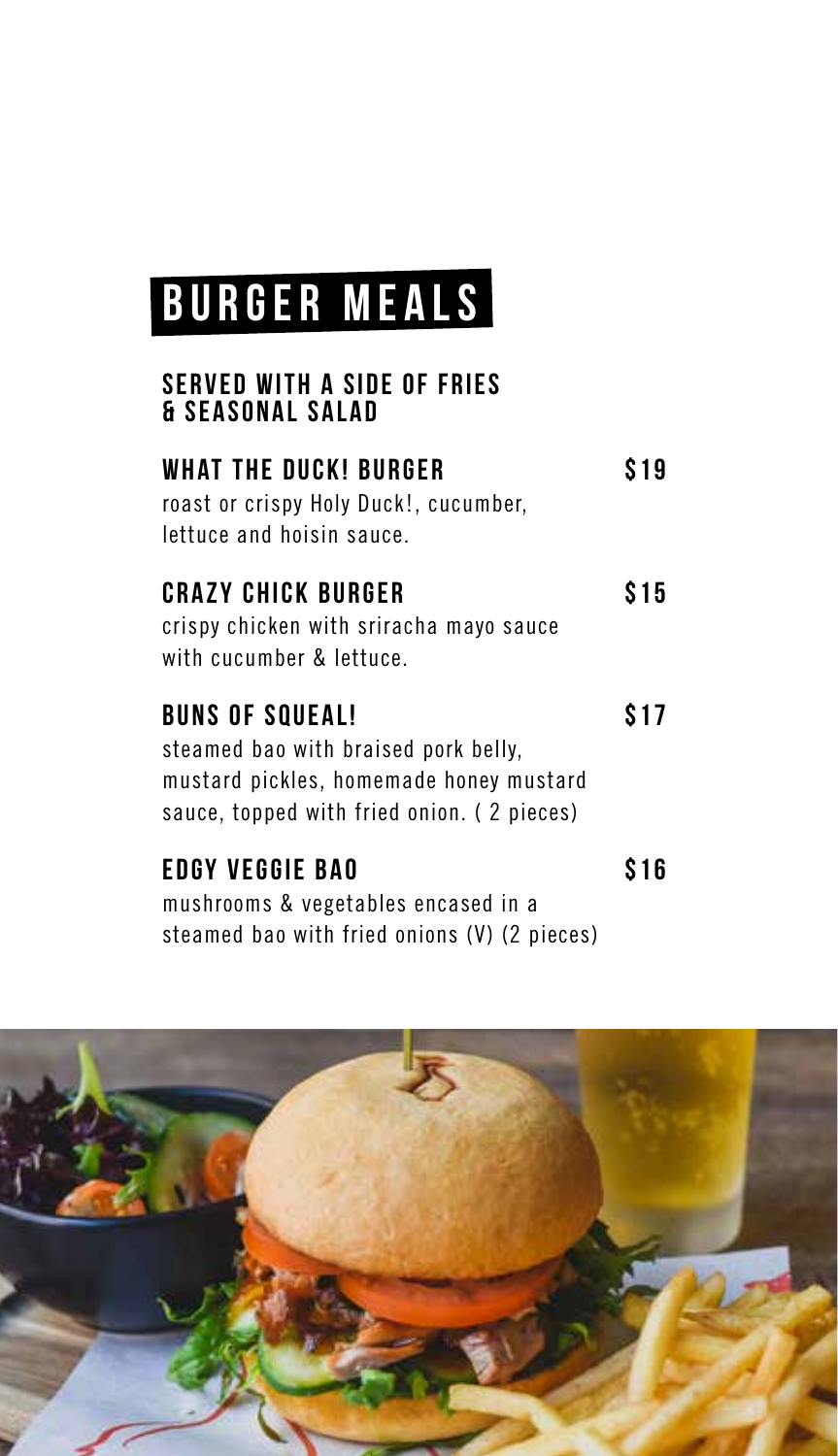## **BURGER MEALS**

#### **SERVED WITH A SIDE OF FRIES & SEASONAL SALAD**

| WHAT THE DUCK! BURGER                 | \$19 |
|---------------------------------------|------|
| roast or crispy Holy Duck!, cucumber, |      |
| lettuce and hoisin sauce.             |      |

### **CRAZY CHICK BURGER** \$15

crispy chicken with sriracha mayo sauce with cucumber & lettuce.

| <b>BUNS OF SQUEAL!</b>                     | <b>S17</b> |
|--------------------------------------------|------------|
| steamed bao with braised pork belly,       |            |
| mustard pickles, homemade honey mustard    |            |
| sauce, topped with fried onion. (2 pieces) |            |
| EDGY VEGGIE BAO                            | \$16       |

mushrooms & vegetables encased in a steamed bao with fried onions (V) (2 pieces)

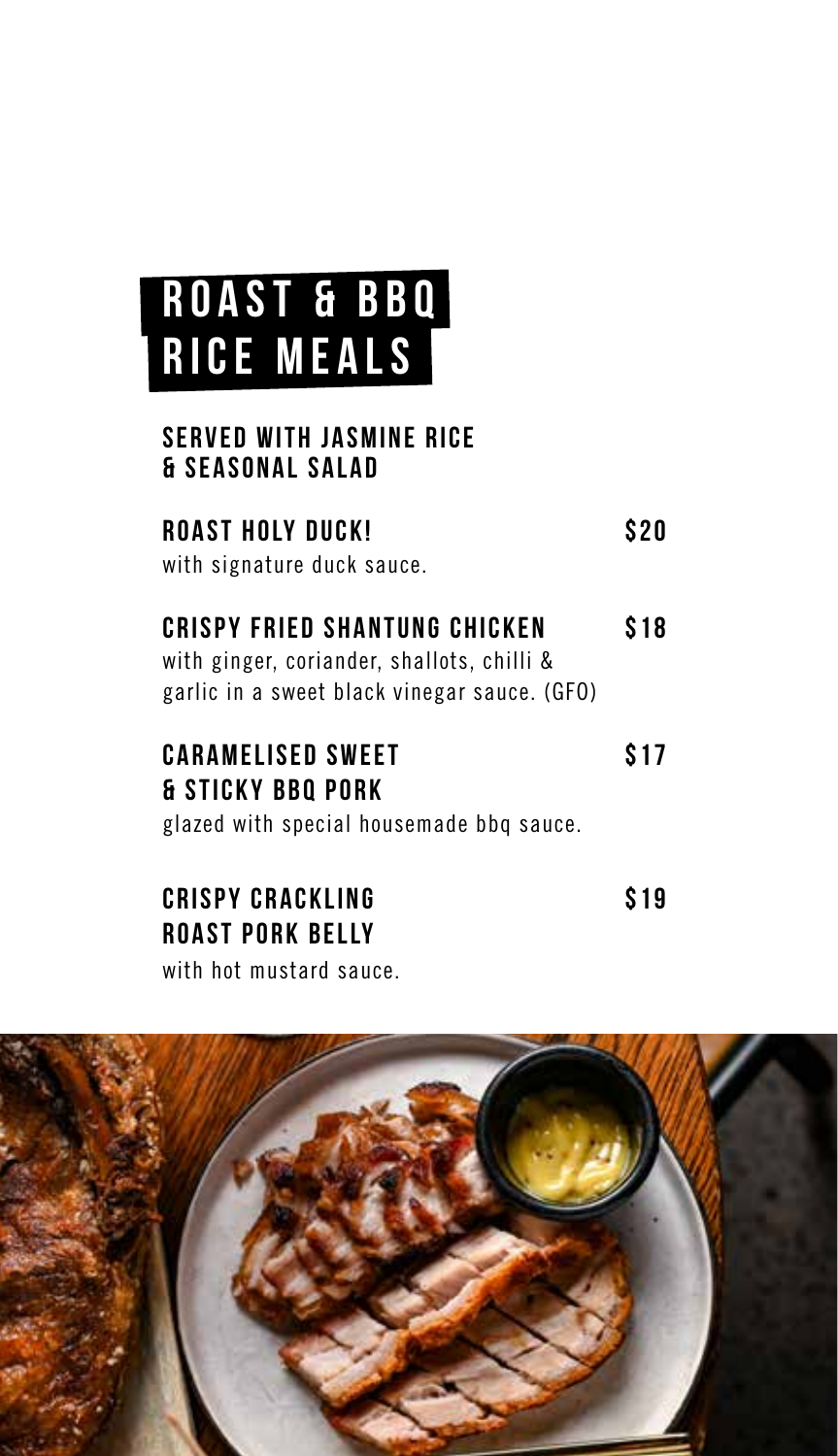## **ROAST & BBQ RICE MEALS**

### **SERVED WITH JASMINE RICE & SEASONAL SALAD**

| ROAST HOLY DUCK!                                                                                                            | \$20 |
|-----------------------------------------------------------------------------------------------------------------------------|------|
| with signature duck sauce.                                                                                                  |      |
| CRISPY FRIED SHANTUNG CHICKEN<br>with ginger, coriander, shallots, chilli &<br>garlic in a sweet black vinegar sauce. (GFO) | S 18 |

| <b>CARAMELISED SWEET</b>                 | \$17 |
|------------------------------------------|------|
| <b>&amp; STICKY BBO PORK</b>             |      |
| glazed with special housemade bbg sauce. |      |

| <b>CRISPY CRACKLING</b> | S19 |
|-------------------------|-----|
| <b>ROAST PORK BELLY</b> |     |
| with hot mustard sauce. |     |

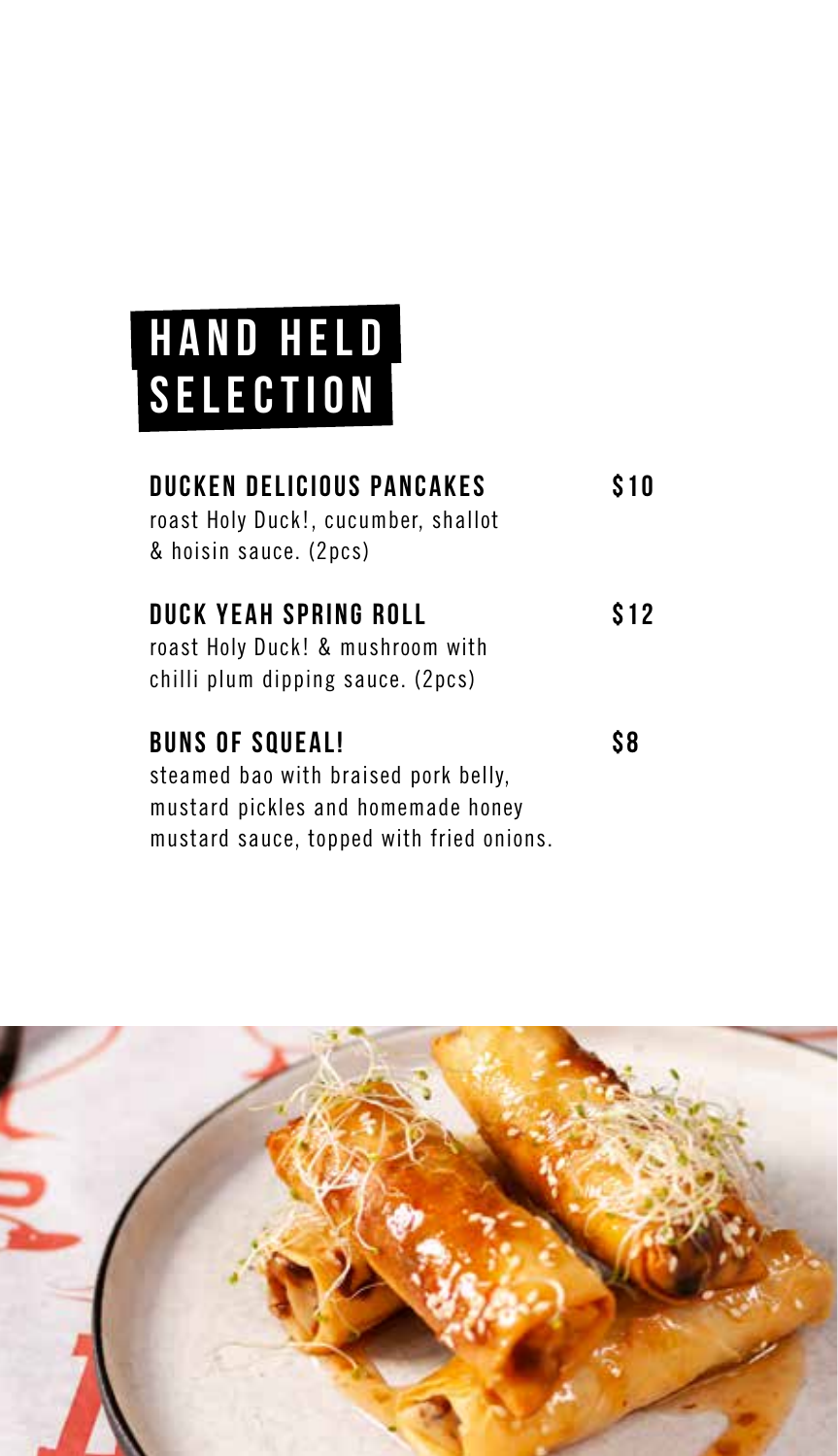## **HAND HELD SELECTION**

| <b>DUCKEN DELICIOUS PANCAKES</b><br>roast Holy Duck!, cucumber, shallot<br>& hoisin sauce. (2pcs)                                                | S 10 |
|--------------------------------------------------------------------------------------------------------------------------------------------------|------|
| DUCK YEAH SPRING ROLL<br>roast Holy Duck! & mushroom with<br>chilli plum dipping sauce. (2pcs)                                                   | S 12 |
| <b>BUNS OF SQUEAL!</b><br>steamed bao with braised pork belly,<br>mustard pickles and homemade honey<br>mustard sauce, topped with fried onions. | S8   |

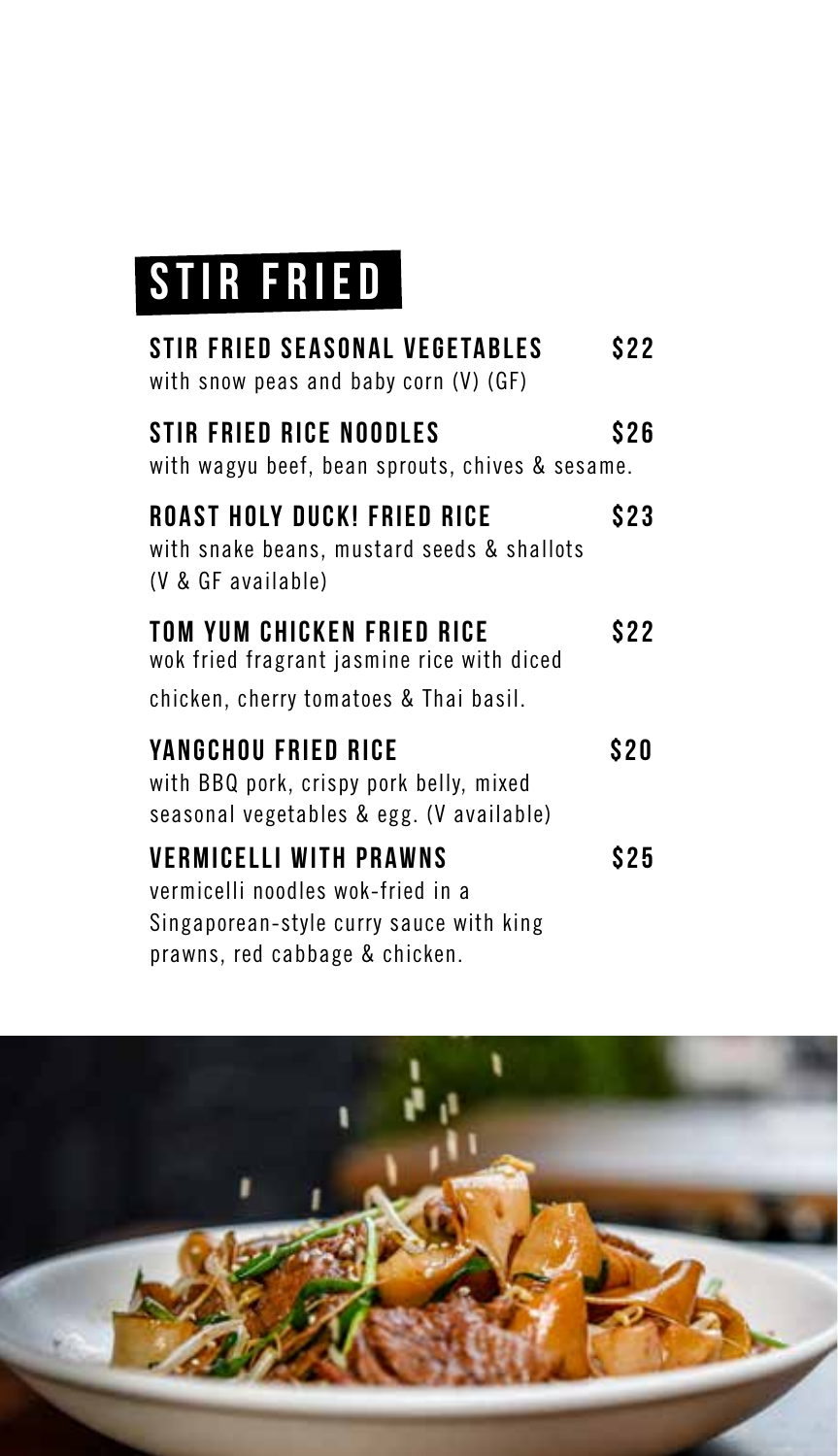## **STIR FRIED**

| <b>STIR FRIED SEASONAL VEGETABLES</b><br>with snow peas and baby corn (V) (GF)                                                                  | \$22  |
|-------------------------------------------------------------------------------------------------------------------------------------------------|-------|
| STIR FRIED RICE NOODLES<br>with wagyu beef, bean sprouts, chives & sesame.                                                                      | S 26  |
| ROAST HOLY DUCK! FRIED RICE<br>with snake beans, mustard seeds & shallots<br>(V & GF available)                                                 | \$23  |
| TOM YUM CHICKEN FRIED RICE<br>wok fried fragrant jasmine rice with diced<br>chicken, cherry tomatoes & Thai basil.                              | S 2 2 |
| YANGCHOU FRIED RICE<br>with BBQ pork, crispy pork belly, mixed<br>seasonal vegetables & egg. (V available)                                      | S 2 0 |
| <b>VERMICELLI WITH PRAWNS</b><br>vermicelli noodles wok-fried in a<br>Singaporean-style curry sauce with king<br>prawns, red cabbage & chicken. | \$25  |

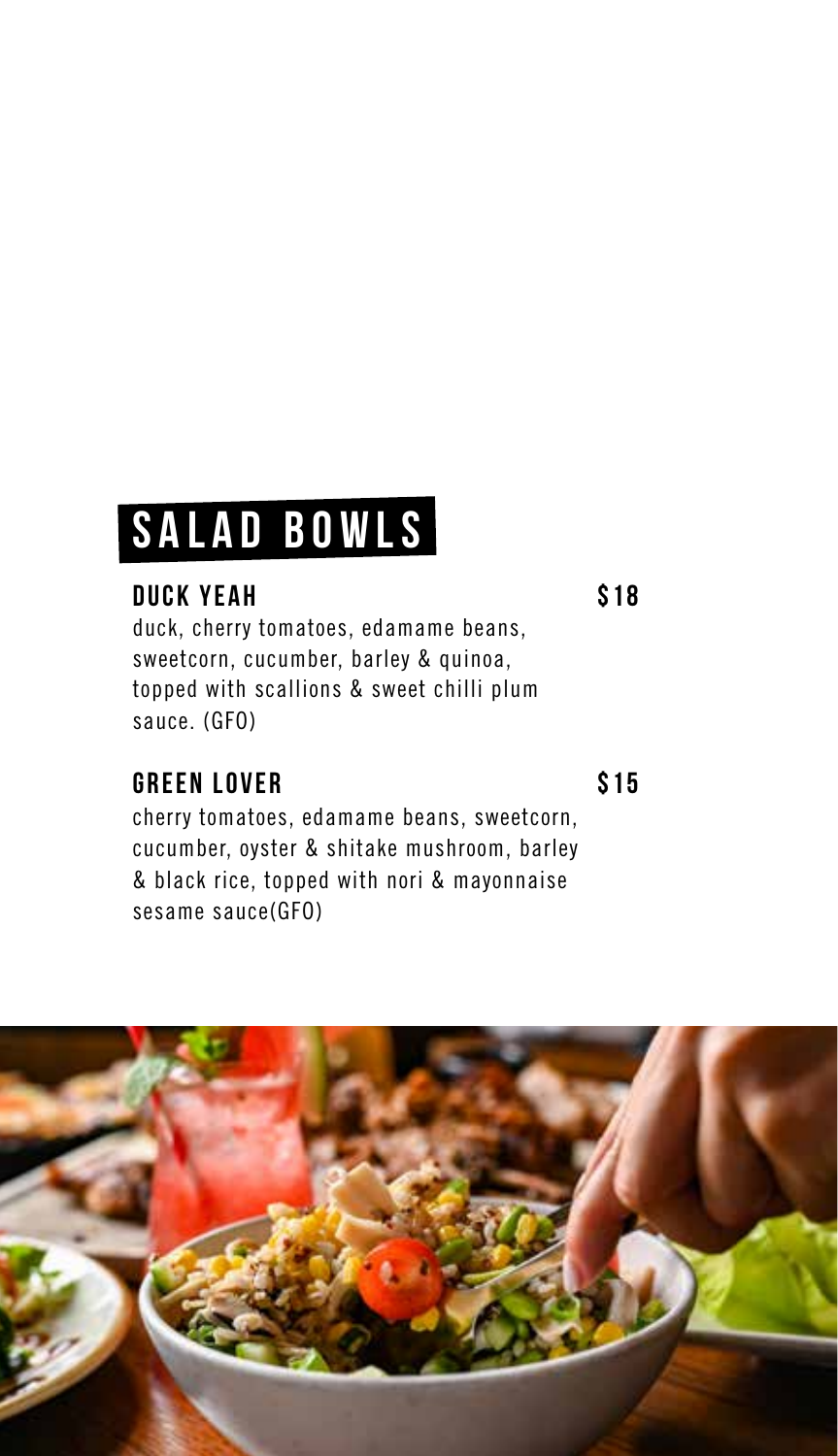## **SALAD BOWLS**

### **DUCK YEAH \$18**

duck, cherry tomatoes, edamame beans, sweetcorn, cucumber, barley & quinoa, topped with scallions & sweet chilli plum sauce. (GFO)

### **GREEN LOVER \$15**

cherry tomatoes, edamame beans, sweetcorn, cucumber, oyster & shitake mushroom, barley & black rice, topped with nori & mayonnaise sesame sauce(GFO)

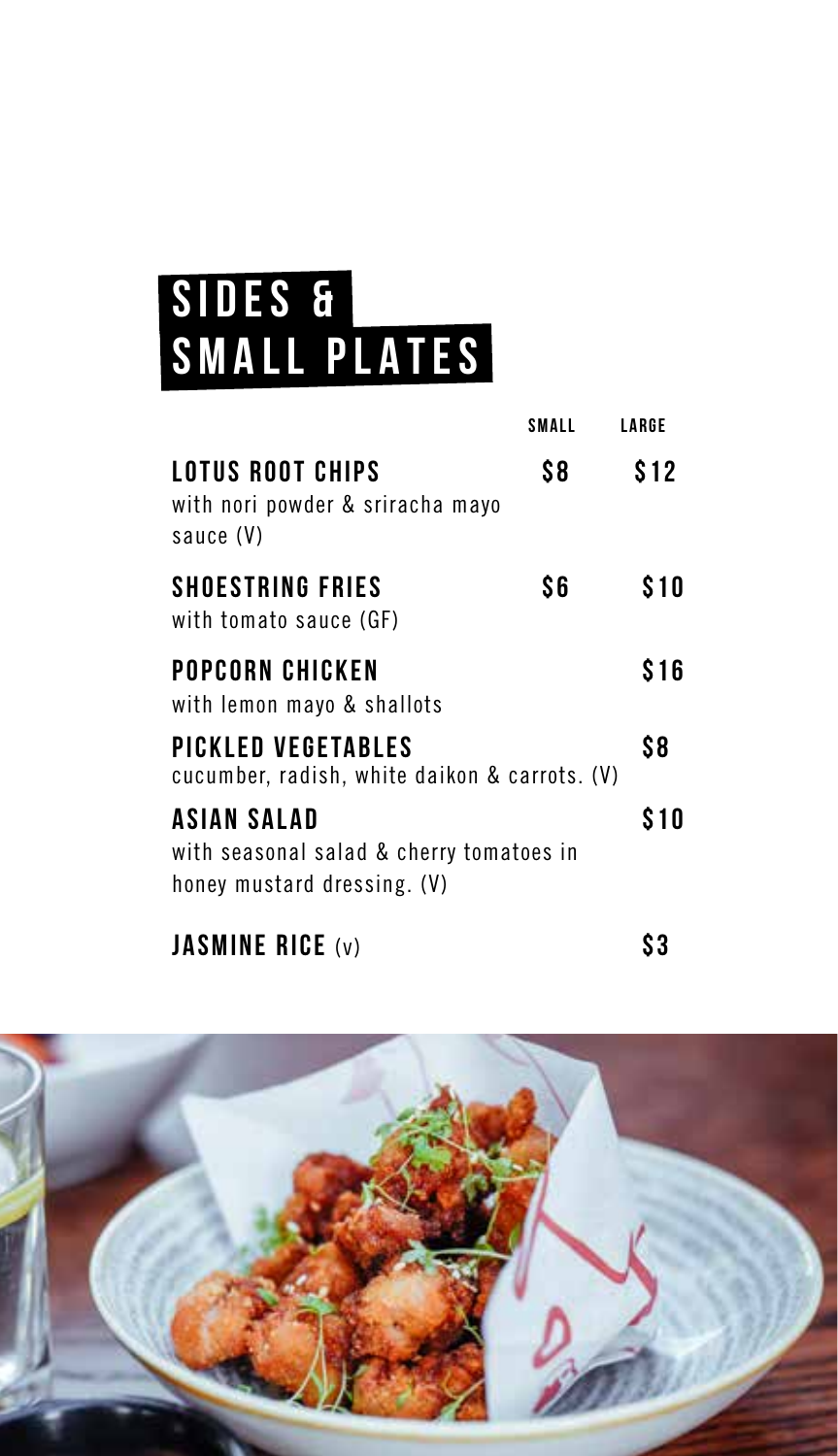## **SIDES & SMALL PLATES**

|                                                                                               | SMALL | LARGE |
|-----------------------------------------------------------------------------------------------|-------|-------|
| LOTUS ROOT CHIPS<br>with nori powder & sriracha mayo<br>sauce (V)                             | S8    | \$12  |
| <b>SHOESTRING FRIES</b><br>with tomato sauce (GF)                                             | \$6   | \$10  |
| POPCORN CHICKEN<br>with lemon mayo & shallots                                                 |       | \$16  |
| PICKLED VEGETABLES<br>cucumber, radish, white daikon & carrots. (V)                           |       | \$8   |
| <b>ASIAN SALAD</b><br>with seasonal salad & cherry tomatoes in<br>honey mustard dressing. (V) |       | \$10  |
| <b>JASMINE RICE (v)</b>                                                                       |       |       |